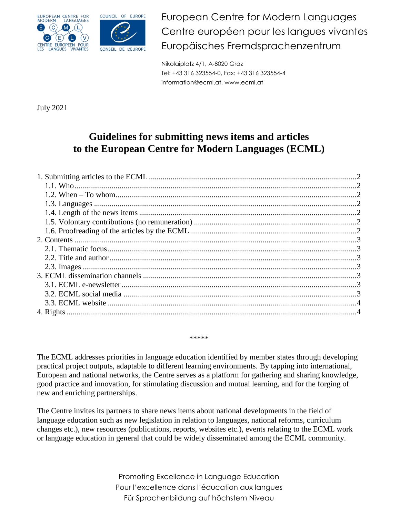



European Centre for Modern Languages Centre européen pour les langues vivantes Europäisches Fremdsprachenzentrum

Nikolaiplatz 4/1, A-8020 Graz Tel: +43 316 323554-0, Fax: +43 316 323554-4 information@ecml.at, www.ecml.at

July 2021

# **Guidelines for submitting news items and articles to the European Centre for Modern Languages (ECML)**

#### \*\*\*\*\*

The ECML addresses priorities in language education identified by member states through developing practical project outputs, adaptable to different learning environments. By tapping into international, European and national networks, the Centre serves as a platform for gathering and sharing knowledge, good practice and innovation, for stimulating discussion and mutual learning, and for the forging of new and enriching partnerships.

<span id="page-0-0"></span>The Centre invites its partners to share news items about national developments in the field of language education such as new legislation in relation to languages, national reforms, curriculum changes etc.), new resources (publications, reports, websites etc.), events relating to the ECML work or language education in general that could be widely disseminated among the ECML community.

> Promoting Excellence in Language Education Pour l'excellence dans l'éducation aux langues Für Sprachenbildung auf höchstem Niveau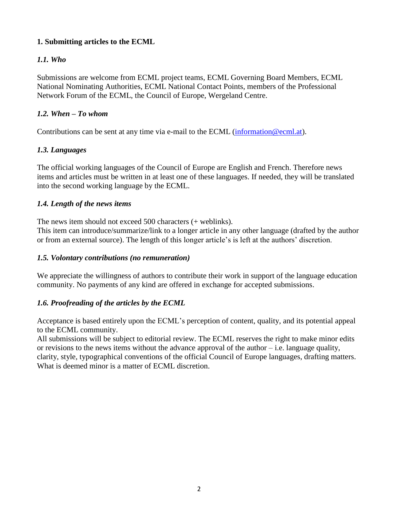#### **1. Submitting articles to the ECML**

# <span id="page-1-0"></span>*1.1. Who*

Submissions are welcome from ECML project teams, ECML Governing Board Members, ECML National Nominating Authorities, ECML National Contact Points, members of the Professional Network Forum of the ECML, the Council of Europe, Wergeland Centre.

#### <span id="page-1-1"></span>*1.2. When – To whom*

Contributions can be sent at any time via e-mail to the ECML [\(information@ecml.at\)](mailto:information@ecml.at).

# <span id="page-1-2"></span>*1.3. Languages*

The official working languages of the Council of Europe are English and French. Therefore news items and articles must be written in at least one of these languages. If needed, they will be translated into the second working language by the ECML.

## <span id="page-1-3"></span>*1.4. Length of the news items*

The news item should not exceed 500 characters (+ weblinks).

This item can introduce/summarize/link to a longer article in any other language (drafted by the author or from an external source). The length of this longer article's is left at the authors' discretion.

#### <span id="page-1-4"></span>*1.5. Volontary contributions (no remuneration)*

We appreciate the willingness of authors to contribute their work in support of the language education community. No payments of any kind are offered in exchange for accepted submissions.

# <span id="page-1-5"></span>*1.6. Proofreading of the articles by the ECML*

Acceptance is based entirely upon the ECML's perception of content, quality, and its potential appeal to the ECML community.

<span id="page-1-6"></span>All submissions will be subject to editorial review. The ECML reserves the right to make minor edits or revisions to the news items without the advance approval of the author  $-i.e.$  language quality, clarity, style, typographical conventions of the official Council of Europe languages, drafting matters. What is deemed minor is a matter of ECML discretion.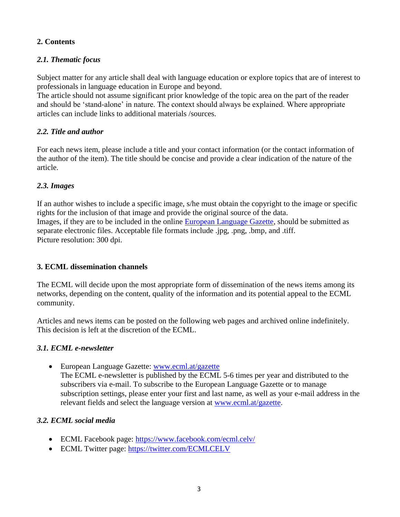#### **2. Contents**

# <span id="page-2-0"></span>*2.1. Thematic focus*

Subject matter for any article shall deal with language education or explore topics that are of interest to professionals in language education in Europe and beyond.

The article should not assume significant prior knowledge of the topic area on the part of the reader and should be 'stand-alone' in nature. The context should always be explained. Where appropriate articles can include links to additional materials /sources.

### <span id="page-2-1"></span>*2.2. Title and author*

For each news item, please include a title and your contact information (or the contact information of the author of the item). The title should be concise and provide a clear indication of the nature of the article.

## <span id="page-2-2"></span>*2.3. Images*

If an author wishes to include a specific image, s/he must obtain the copyright to the image or specific rights for the inclusion of that image and provide the original source of the data. Images, if they are to be included in the online [European Language Gazette,](http://www.ecml.at/gazette) should be submitted as separate electronic files. Acceptable file formats include .jpg, .png, .bmp, and .tiff. Picture resolution: 300 dpi.

#### <span id="page-2-3"></span>**3. ECML dissemination channels**

The ECML will decide upon the most appropriate form of dissemination of the news items among its networks, depending on the content, quality of the information and its potential appeal to the ECML community.

Articles and news items can be posted on the following web pages and archived online indefinitely. This decision is left at the discretion of the ECML.

# <span id="page-2-4"></span>*3.1. ECML e-newsletter*

 European Language Gazette: [www.ecml.at/gazette](http://www.ecml.at/gazette) The ECML e-newsletter is published by the ECML 5-6 times per year and distributed to the subscribers via e-mail. To subscribe to the European Language Gazette or to manage subscription settings, please enter your first and last name, as well as your e-mail address in the relevant fields and select the language version at [www.ecml.at/gazette.](http://www.ecml.at/gazette)

# <span id="page-2-5"></span>*3.2. ECML social media*

- ECML Facebook page:<https://www.facebook.com/ecml.celv/>
- ECML Twitter page:<https://twitter.com/ECMLCELV>